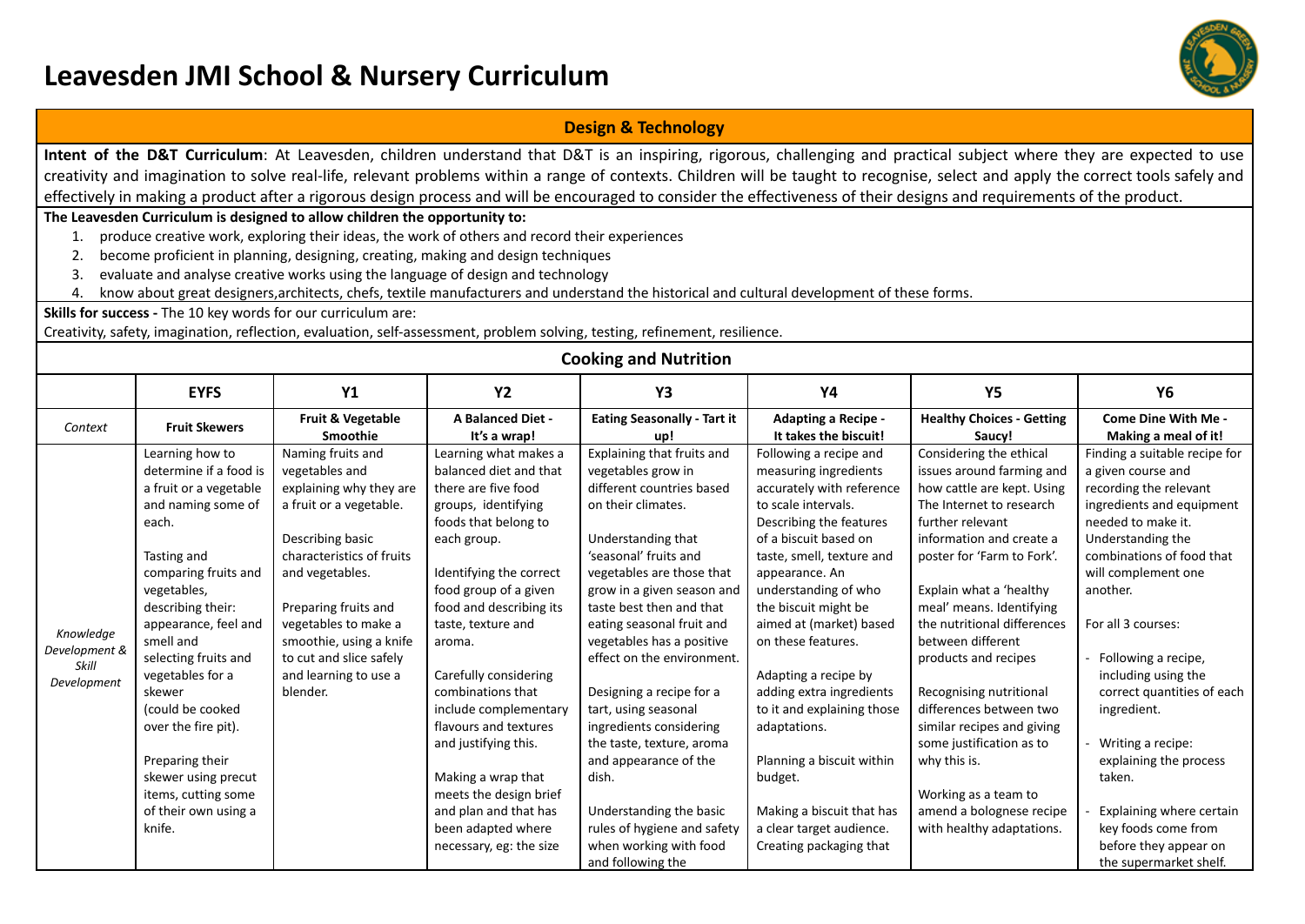# **Leavesden JMI School & Nursery Curriculum**



## **Design & Technology**

**Intent of the D&T Curriculum**: At Leavesden, children understand that D&T is an inspiring, rigorous, challenging and practical subject where they are expected to use creativity and imagination to solve real-life, relevant problems within a range of contexts. Children will be taught to recognise, select and apply the correct tools safely and effectively in making a product after a rigorous design process and will be encouraged to consider the effectiveness of their designs and requirements of the product.

#### **The Leavesden Curriculum is designed to allow children the opportunity to:**

- 1. produce creative work, exploring their ideas, the work of others and record their experiences
- 2. become proficient in planning, designing, creating, making and design techniques
- 3. evaluate and analyse creative works using the language of design and technology
- 4. know about great designers,architects, chefs, textile manufacturers and understand the historical and cultural development of these forms.

#### **Skills for success -** The 10 key words for our curriculum are:

Creativity, safety, imagination, reflection, evaluation, self-assessment, problem solving, testing, refinement, resilience.

## **Cooking and Nutrition**

|                                                    | <b>EYFS</b>                                                                                                                                                                                                                                                                                                                                                                                                            | <b>Y1</b>                                                                                                                                                                                                                                                                                                | <b>Y2</b>                                                                                                                                                                                                                                                                                                                                                                                                                                                                                             | Y3                                                                                                                                                                                                                                                                                                                                                                                                                                                                                                                                                                  | <b>Y4</b>                                                                                                                                                                                                                                                                                                                                                                                                                                                                                                                             | <b>Y5</b>                                                                                                                                                                                                                                                                                                                                                                                                                                                                                                                                        | Υ6                                                                                                                                                                                                                                                                                                                                                                                                                                                                            |
|----------------------------------------------------|------------------------------------------------------------------------------------------------------------------------------------------------------------------------------------------------------------------------------------------------------------------------------------------------------------------------------------------------------------------------------------------------------------------------|----------------------------------------------------------------------------------------------------------------------------------------------------------------------------------------------------------------------------------------------------------------------------------------------------------|-------------------------------------------------------------------------------------------------------------------------------------------------------------------------------------------------------------------------------------------------------------------------------------------------------------------------------------------------------------------------------------------------------------------------------------------------------------------------------------------------------|---------------------------------------------------------------------------------------------------------------------------------------------------------------------------------------------------------------------------------------------------------------------------------------------------------------------------------------------------------------------------------------------------------------------------------------------------------------------------------------------------------------------------------------------------------------------|---------------------------------------------------------------------------------------------------------------------------------------------------------------------------------------------------------------------------------------------------------------------------------------------------------------------------------------------------------------------------------------------------------------------------------------------------------------------------------------------------------------------------------------|--------------------------------------------------------------------------------------------------------------------------------------------------------------------------------------------------------------------------------------------------------------------------------------------------------------------------------------------------------------------------------------------------------------------------------------------------------------------------------------------------------------------------------------------------|-------------------------------------------------------------------------------------------------------------------------------------------------------------------------------------------------------------------------------------------------------------------------------------------------------------------------------------------------------------------------------------------------------------------------------------------------------------------------------|
| Context                                            | <b>Fruit Skewers</b>                                                                                                                                                                                                                                                                                                                                                                                                   | Fruit & Vegetable<br><b>Smoothie</b>                                                                                                                                                                                                                                                                     | <b>A Balanced Diet -</b><br>It's a wrap!                                                                                                                                                                                                                                                                                                                                                                                                                                                              | <b>Eating Seasonally - Tart it</b><br>up!                                                                                                                                                                                                                                                                                                                                                                                                                                                                                                                           | <b>Adapting a Recipe -</b><br>It takes the biscuit!                                                                                                                                                                                                                                                                                                                                                                                                                                                                                   | <b>Healthy Choices - Getting</b><br>Saucy!                                                                                                                                                                                                                                                                                                                                                                                                                                                                                                       | Come Dine With Me -<br>Making a meal of it!                                                                                                                                                                                                                                                                                                                                                                                                                                   |
| Knowledge<br>Development &<br>Skill<br>Development | Learning how to<br>determine if a food is<br>a fruit or a vegetable<br>and naming some of<br>each.<br>Tasting and<br>comparing fruits and<br>vegetables,<br>describing their:<br>appearance, feel and<br>smell and<br>selecting fruits and<br>vegetables for a<br>skewer<br>(could be cooked<br>over the fire pit).<br>Preparing their<br>skewer using precut<br>items, cutting some<br>of their own using a<br>knife. | Naming fruits and<br>vegetables and<br>explaining why they are<br>a fruit or a vegetable.<br>Describing basic<br>characteristics of fruits<br>and vegetables.<br>Preparing fruits and<br>vegetables to make a<br>smoothie, using a knife<br>to cut and slice safely<br>and learning to use a<br>blender. | Learning what makes a<br>balanced diet and that<br>there are five food<br>groups, identifying<br>foods that belong to<br>each group.<br>Identifying the correct<br>food group of a given<br>food and describing its<br>taste, texture and<br>aroma.<br>Carefully considering<br>combinations that<br>include complementary<br>flavours and textures<br>and justifying this.<br>Making a wrap that<br>meets the design brief<br>and plan and that has<br>been adapted where<br>necessary, eg: the size | Explaining that fruits and<br>vegetables grow in<br>different countries based<br>on their climates.<br>Understanding that<br>'seasonal' fruits and<br>vegetables are those that<br>grow in a given season and<br>taste best then and that<br>eating seasonal fruit and<br>vegetables has a positive<br>effect on the environment.<br>Designing a recipe for a<br>tart, using seasonal<br>ingredients considering<br>the taste, texture, aroma<br>and appearance of the<br>dish.<br>Understanding the basic<br>rules of hygiene and safety<br>when working with food | Following a recipe and<br>measuring ingredients<br>accurately with reference<br>to scale intervals.<br>Describing the features<br>of a biscuit based on<br>taste, smell, texture and<br>appearance. An<br>understanding of who<br>the biscuit might be<br>aimed at (market) based<br>on these features.<br>Adapting a recipe by<br>adding extra ingredients<br>to it and explaining those<br>adaptations.<br>Planning a biscuit within<br>budget.<br>Making a biscuit that has<br>a clear target audience.<br>Creating packaging that | Considering the ethical<br>issues around farming and<br>how cattle are kept. Using<br>The Internet to research<br>further relevant<br>information and create a<br>poster for 'Farm to Fork'.<br>Explain what a 'healthy<br>meal' means. Identifying<br>the nutritional differences<br>between different<br>products and recipes<br>Recognising nutritional<br>differences between two<br>similar recipes and giving<br>some justification as to<br>why this is.<br>Working as a team to<br>amend a bolognese recipe<br>with healthy adaptations. | Finding a suitable recipe for<br>a given course and<br>recording the relevant<br>ingredients and equipment<br>needed to make it.<br>Understanding the<br>combinations of food that<br>will complement one<br>another.<br>For all 3 courses:<br>- Following a recipe,<br>including using the<br>correct quantities of each<br>ingredient.<br>Writing a recipe:<br>explaining the process<br>taken.<br>Explaining where certain<br>key foods come from<br>before they appear on |
|                                                    |                                                                                                                                                                                                                                                                                                                                                                                                                        |                                                                                                                                                                                                                                                                                                          |                                                                                                                                                                                                                                                                                                                                                                                                                                                                                                       | and following the                                                                                                                                                                                                                                                                                                                                                                                                                                                                                                                                                   |                                                                                                                                                                                                                                                                                                                                                                                                                                                                                                                                       |                                                                                                                                                                                                                                                                                                                                                                                                                                                                                                                                                  | the supermarket shelf.                                                                                                                                                                                                                                                                                                                                                                                                                                                        |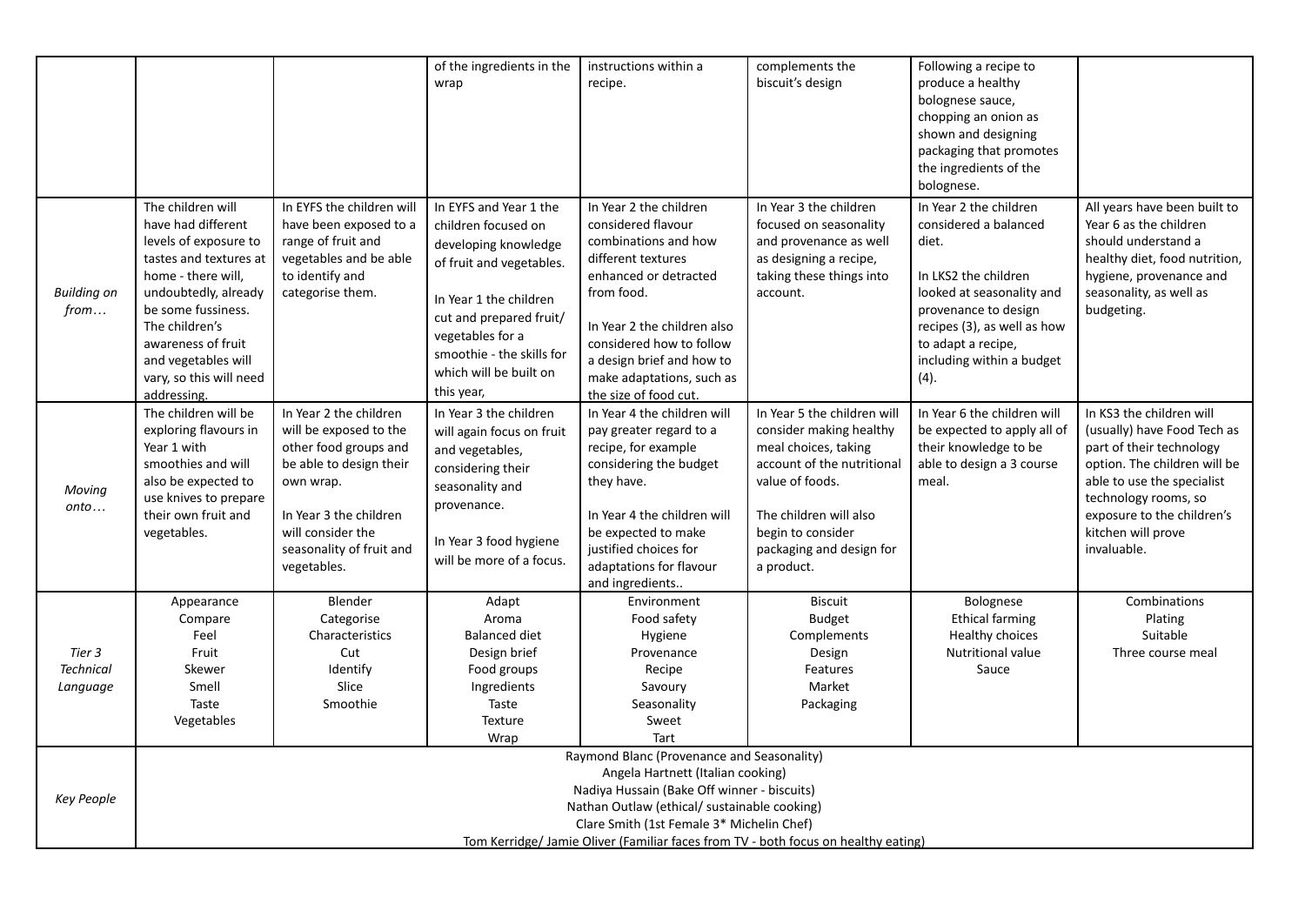|                                        |                                                                                                                                                                                                                                                                                                                  |                                                                                                                                                                                                             | of the ingredients in the<br>wrap                                                                                                                                                                                                               | instructions within a<br>recipe.                                                                                                                                                                                                                                                | complements the<br>biscuit's design                                                                                                                                                                                      | Following a recipe to<br>produce a healthy<br>bolognese sauce,<br>chopping an onion as<br>shown and designing<br>packaging that promotes<br>the ingredients of the<br>bolognese.                                                |                                                                                                                                                                                                                                              |
|----------------------------------------|------------------------------------------------------------------------------------------------------------------------------------------------------------------------------------------------------------------------------------------------------------------------------------------------------------------|-------------------------------------------------------------------------------------------------------------------------------------------------------------------------------------------------------------|-------------------------------------------------------------------------------------------------------------------------------------------------------------------------------------------------------------------------------------------------|---------------------------------------------------------------------------------------------------------------------------------------------------------------------------------------------------------------------------------------------------------------------------------|--------------------------------------------------------------------------------------------------------------------------------------------------------------------------------------------------------------------------|---------------------------------------------------------------------------------------------------------------------------------------------------------------------------------------------------------------------------------|----------------------------------------------------------------------------------------------------------------------------------------------------------------------------------------------------------------------------------------------|
| <b>Building on</b><br>$from \dots$     | The children will<br>have had different<br>levels of exposure to<br>tastes and textures at<br>home - there will,<br>undoubtedly, already<br>be some fussiness.<br>The children's<br>awareness of fruit<br>and vegetables will<br>vary, so this will need<br>addressing.                                          | In EYFS the children will<br>have been exposed to a<br>range of fruit and<br>vegetables and be able<br>to identify and<br>categorise them.                                                                  | In EYFS and Year 1 the<br>children focused on<br>developing knowledge<br>of fruit and vegetables.<br>In Year 1 the children<br>cut and prepared fruit/<br>vegetables for a<br>smoothie - the skills for<br>which will be built on<br>this year, | In Year 2 the children<br>considered flavour<br>combinations and how<br>different textures<br>enhanced or detracted<br>from food.<br>In Year 2 the children also<br>considered how to follow<br>a design brief and how to<br>make adaptations, such as<br>the size of food cut. | In Year 3 the children<br>focused on seasonality<br>and provenance as well<br>as designing a recipe,<br>taking these things into<br>account.                                                                             | In Year 2 the children<br>considered a balanced<br>diet.<br>In LKS2 the children<br>looked at seasonality and<br>provenance to design<br>recipes (3), as well as how<br>to adapt a recipe,<br>including within a budget<br>(4). | All years have been built to<br>Year 6 as the children<br>should understand a<br>healthy diet, food nutrition,<br>hygiene, provenance and<br>seasonality, as well as<br>budgeting.                                                           |
| Moving<br>onto                         | The children will be<br>exploring flavours in<br>Year 1 with<br>smoothies and will<br>also be expected to<br>use knives to prepare<br>their own fruit and<br>vegetables.                                                                                                                                         | In Year 2 the children<br>will be exposed to the<br>other food groups and<br>be able to design their<br>own wrap.<br>In Year 3 the children<br>will consider the<br>seasonality of fruit and<br>vegetables. | In Year 3 the children<br>will again focus on fruit<br>and vegetables,<br>considering their<br>seasonality and<br>provenance.<br>In Year 3 food hygiene<br>will be more of a focus.                                                             | In Year 4 the children will<br>pay greater regard to a<br>recipe, for example<br>considering the budget<br>they have.<br>In Year 4 the children will<br>be expected to make<br>justified choices for<br>adaptations for flavour<br>and ingredients                              | In Year 5 the children will<br>consider making healthy<br>meal choices, taking<br>account of the nutritional<br>value of foods.<br>The children will also<br>begin to consider<br>packaging and design for<br>a product. | In Year 6 the children will<br>be expected to apply all of<br>their knowledge to be<br>able to design a 3 course<br>meal.                                                                                                       | In KS3 the children will<br>(usually) have Food Tech as<br>part of their technology<br>option. The children will be<br>able to use the specialist<br>technology rooms, so<br>exposure to the children's<br>kitchen will prove<br>invaluable. |
| Tier 3<br><b>Technical</b><br>Language | Appearance<br>Compare<br>Feel<br>Fruit<br>Skewer<br>Smell<br>Taste<br>Vegetables                                                                                                                                                                                                                                 | Blender<br>Categorise<br>Characteristics<br>Cut<br>Identify<br>Slice<br>Smoothie                                                                                                                            | Adapt<br>Aroma<br><b>Balanced diet</b><br>Design brief<br>Food groups<br>Ingredients<br>Taste<br>Texture<br>Wrap                                                                                                                                | Environment<br>Food safety<br>Hygiene<br>Provenance<br>Recipe<br>Savoury<br>Seasonality<br>Sweet<br>Tart                                                                                                                                                                        | <b>Biscuit</b><br><b>Budget</b><br>Complements<br>Design<br>Features<br>Market<br>Packaging                                                                                                                              | Bolognese<br><b>Ethical farming</b><br>Healthy choices<br>Nutritional value<br>Sauce                                                                                                                                            | Combinations<br>Plating<br>Suitable<br>Three course meal                                                                                                                                                                                     |
| <b>Key People</b>                      | Raymond Blanc (Provenance and Seasonality)<br>Angela Hartnett (Italian cooking)<br>Nadiya Hussain (Bake Off winner - biscuits)<br>Nathan Outlaw (ethical/ sustainable cooking)<br>Clare Smith (1st Female 3* Michelin Chef)<br>Tom Kerridge/Jamie Oliver (Familiar faces from TV - both focus on healthy eating) |                                                                                                                                                                                                             |                                                                                                                                                                                                                                                 |                                                                                                                                                                                                                                                                                 |                                                                                                                                                                                                                          |                                                                                                                                                                                                                                 |                                                                                                                                                                                                                                              |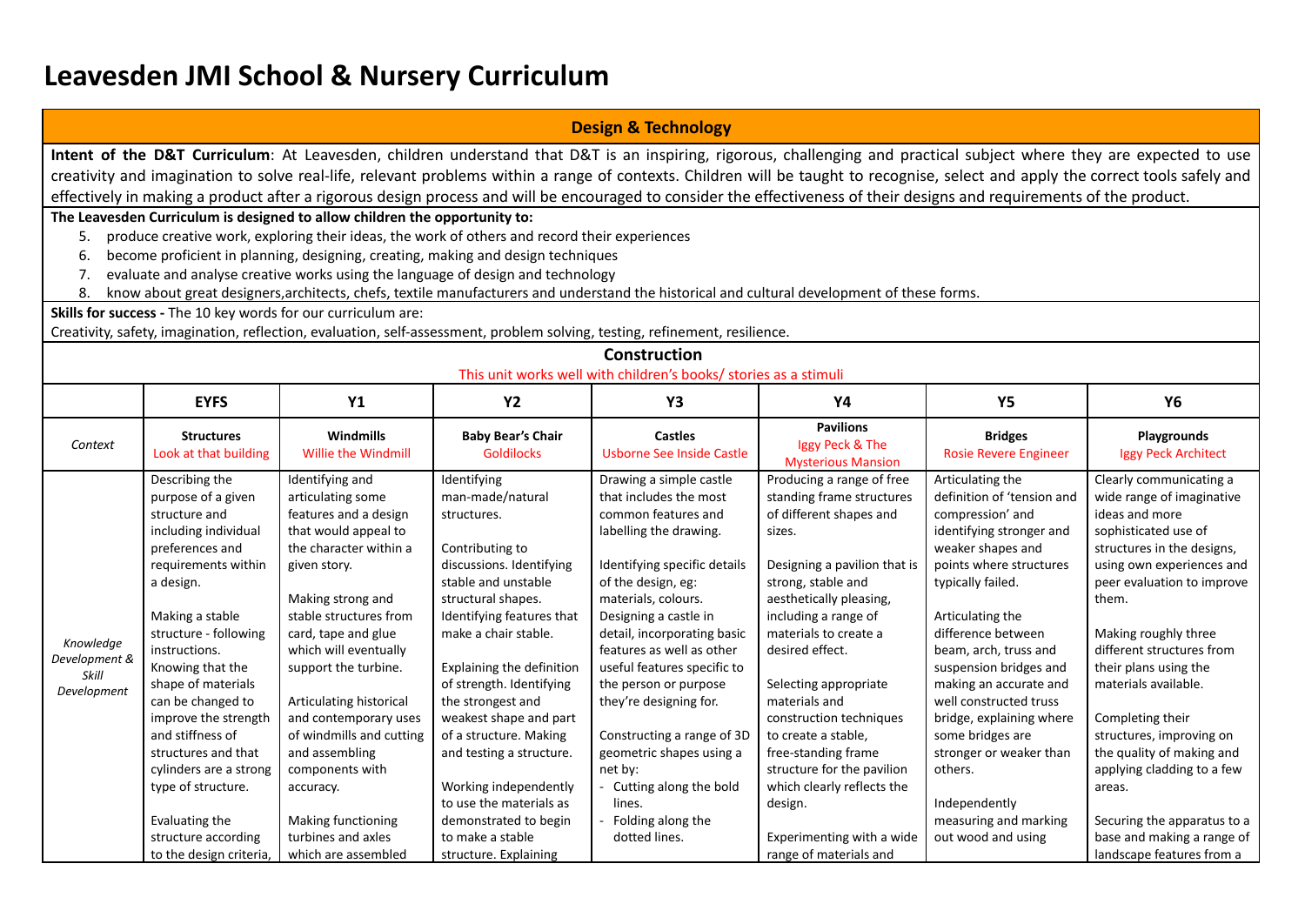# **Leavesden JMI School & Nursery Curriculum**

|                                                    |                                                                                                                                                                                                                                                                                                                                                                                                                                                         |                                                                                                                                                                                                                                                                                                                                                                                                                                                             |                                                                                                                                                                                                                                                                                                                                                                                                                                                                                         | <b>Design &amp; Technology</b>                                                                                                                                                                                                                                                                                                                                                                                                                                                                        |                                                                                                                                                                                                                                                                                                                                                                                                                                                                                                                                    |                                                                                                                                                                                                                                                                                                                                                                                                                                                                            |                                                                                                                                                                                                                                                                                                                                                                                                                                                                                                                       |
|----------------------------------------------------|---------------------------------------------------------------------------------------------------------------------------------------------------------------------------------------------------------------------------------------------------------------------------------------------------------------------------------------------------------------------------------------------------------------------------------------------------------|-------------------------------------------------------------------------------------------------------------------------------------------------------------------------------------------------------------------------------------------------------------------------------------------------------------------------------------------------------------------------------------------------------------------------------------------------------------|-----------------------------------------------------------------------------------------------------------------------------------------------------------------------------------------------------------------------------------------------------------------------------------------------------------------------------------------------------------------------------------------------------------------------------------------------------------------------------------------|-------------------------------------------------------------------------------------------------------------------------------------------------------------------------------------------------------------------------------------------------------------------------------------------------------------------------------------------------------------------------------------------------------------------------------------------------------------------------------------------------------|------------------------------------------------------------------------------------------------------------------------------------------------------------------------------------------------------------------------------------------------------------------------------------------------------------------------------------------------------------------------------------------------------------------------------------------------------------------------------------------------------------------------------------|----------------------------------------------------------------------------------------------------------------------------------------------------------------------------------------------------------------------------------------------------------------------------------------------------------------------------------------------------------------------------------------------------------------------------------------------------------------------------|-----------------------------------------------------------------------------------------------------------------------------------------------------------------------------------------------------------------------------------------------------------------------------------------------------------------------------------------------------------------------------------------------------------------------------------------------------------------------------------------------------------------------|
|                                                    |                                                                                                                                                                                                                                                                                                                                                                                                                                                         |                                                                                                                                                                                                                                                                                                                                                                                                                                                             |                                                                                                                                                                                                                                                                                                                                                                                                                                                                                         |                                                                                                                                                                                                                                                                                                                                                                                                                                                                                                       | Intent of the D&T Curriculum: At Leavesden, children understand that D&T is an inspiring, rigorous, challenging and practical subject where they are expected to use<br>creativity and imagination to solve real-life, relevant problems within a range of contexts. Children will be taught to recognise, select and apply the correct tools safely and<br>effectively in making a product after a rigorous design process and will be encouraged to consider the effectiveness of their designs and requirements of the product. |                                                                                                                                                                                                                                                                                                                                                                                                                                                                            |                                                                                                                                                                                                                                                                                                                                                                                                                                                                                                                       |
| 5.<br>6.<br>7.                                     |                                                                                                                                                                                                                                                                                                                                                                                                                                                         | The Leavesden Curriculum is designed to allow children the opportunity to:<br>Skills for success - The 10 key words for our curriculum are:                                                                                                                                                                                                                                                                                                                 | produce creative work, exploring their ideas, the work of others and record their experiences<br>become proficient in planning, designing, creating, making and design techniques<br>evaluate and analyse creative works using the language of design and technology                                                                                                                                                                                                                    |                                                                                                                                                                                                                                                                                                                                                                                                                                                                                                       | know about great designers, architects, chefs, textile manufacturers and understand the historical and cultural development of these forms.                                                                                                                                                                                                                                                                                                                                                                                        |                                                                                                                                                                                                                                                                                                                                                                                                                                                                            |                                                                                                                                                                                                                                                                                                                                                                                                                                                                                                                       |
|                                                    |                                                                                                                                                                                                                                                                                                                                                                                                                                                         |                                                                                                                                                                                                                                                                                                                                                                                                                                                             |                                                                                                                                                                                                                                                                                                                                                                                                                                                                                         | Creativity, safety, imagination, reflection, evaluation, self-assessment, problem solving, testing, refinement, resilience.<br><b>Construction</b>                                                                                                                                                                                                                                                                                                                                                    |                                                                                                                                                                                                                                                                                                                                                                                                                                                                                                                                    |                                                                                                                                                                                                                                                                                                                                                                                                                                                                            |                                                                                                                                                                                                                                                                                                                                                                                                                                                                                                                       |
|                                                    |                                                                                                                                                                                                                                                                                                                                                                                                                                                         |                                                                                                                                                                                                                                                                                                                                                                                                                                                             |                                                                                                                                                                                                                                                                                                                                                                                                                                                                                         | This unit works well with children's books/ stories as a stimuli                                                                                                                                                                                                                                                                                                                                                                                                                                      |                                                                                                                                                                                                                                                                                                                                                                                                                                                                                                                                    |                                                                                                                                                                                                                                                                                                                                                                                                                                                                            |                                                                                                                                                                                                                                                                                                                                                                                                                                                                                                                       |
|                                                    | <b>EYFS</b>                                                                                                                                                                                                                                                                                                                                                                                                                                             | <b>Y1</b>                                                                                                                                                                                                                                                                                                                                                                                                                                                   | <b>Y2</b>                                                                                                                                                                                                                                                                                                                                                                                                                                                                               | Y3                                                                                                                                                                                                                                                                                                                                                                                                                                                                                                    | <b>Y4</b>                                                                                                                                                                                                                                                                                                                                                                                                                                                                                                                          | <b>Y5</b>                                                                                                                                                                                                                                                                                                                                                                                                                                                                  | <b>Y6</b>                                                                                                                                                                                                                                                                                                                                                                                                                                                                                                             |
| Context                                            | <b>Structures</b><br>Look at that building                                                                                                                                                                                                                                                                                                                                                                                                              | <b>Windmills</b><br><b>Willie the Windmill</b>                                                                                                                                                                                                                                                                                                                                                                                                              | <b>Baby Bear's Chair</b><br><b>Goldilocks</b>                                                                                                                                                                                                                                                                                                                                                                                                                                           | <b>Castles</b><br><b>Usborne See Inside Castle</b>                                                                                                                                                                                                                                                                                                                                                                                                                                                    | <b>Pavilions</b><br>Iggy Peck & The<br><b>Mysterious Mansion</b>                                                                                                                                                                                                                                                                                                                                                                                                                                                                   | <b>Bridges</b><br><b>Rosie Revere Engineer</b>                                                                                                                                                                                                                                                                                                                                                                                                                             | Playgrounds<br>Iggy Peck Architect                                                                                                                                                                                                                                                                                                                                                                                                                                                                                    |
| Knowledge<br>Development &<br>Skill<br>Development | Describing the<br>purpose of a given<br>structure and<br>including individual<br>preferences and<br>requirements within<br>a design.<br>Making a stable<br>structure - following<br>instructions.<br>Knowing that the<br>shape of materials<br>can be changed to<br>improve the strength<br>and stiffness of<br>structures and that<br>cylinders are a strong<br>type of structure.<br>Evaluating the<br>structure according<br>to the design criteria, | Identifying and<br>articulating some<br>features and a design<br>that would appeal to<br>the character within a<br>given story.<br>Making strong and<br>stable structures from<br>card, tape and glue<br>which will eventually<br>support the turbine.<br>Articulating historical<br>and contemporary uses<br>of windmills and cutting<br>and assembling<br>components with<br>accuracy.<br>Making functioning<br>turbines and axles<br>which are assembled | Identifying<br>man-made/natural<br>structures.<br>Contributing to<br>discussions. Identifying<br>stable and unstable<br>structural shapes.<br>Identifying features that<br>make a chair stable.<br>Explaining the definition<br>of strength. Identifying<br>the strongest and<br>weakest shape and part<br>of a structure. Making<br>and testing a structure.<br>Working independently<br>to use the materials as<br>demonstrated to begin<br>to make a stable<br>structure. Explaining | Drawing a simple castle<br>that includes the most<br>common features and<br>labelling the drawing.<br>Identifying specific details<br>of the design, eg:<br>materials, colours.<br>Designing a castle in<br>detail, incorporating basic<br>features as well as other<br>useful features specific to<br>the person or purpose<br>they're designing for.<br>Constructing a range of 3D<br>geometric shapes using a<br>net by:<br>Cutting along the bold<br>lines.<br>Folding along the<br>dotted lines. | Producing a range of free<br>standing frame structures<br>of different shapes and<br>sizes.<br>Designing a pavilion that is<br>strong, stable and<br>aesthetically pleasing,<br>including a range of<br>materials to create a<br>desired effect.<br>Selecting appropriate<br>materials and<br>construction techniques<br>to create a stable,<br>free-standing frame<br>structure for the pavilion<br>which clearly reflects the<br>design.<br>Experimenting with a wide<br>range of materials and                                  | Articulating the<br>definition of 'tension and<br>compression' and<br>identifying stronger and<br>weaker shapes and<br>points where structures<br>typically failed.<br>Articulating the<br>difference between<br>beam, arch, truss and<br>suspension bridges and<br>making an accurate and<br>well constructed truss<br>bridge, explaining where<br>some bridges are<br>stronger or weaker than<br>others.<br>Independently<br>measuring and marking<br>out wood and using | Clearly communicating a<br>wide range of imaginative<br>ideas and more<br>sophisticated use of<br>structures in the designs,<br>using own experiences and<br>peer evaluation to improve<br>them.<br>Making roughly three<br>different structures from<br>their plans using the<br>materials available.<br>Completing their<br>structures, improving on<br>the quality of making and<br>applying cladding to a few<br>areas.<br>Securing the apparatus to a<br>base and making a range of<br>landscape features from a |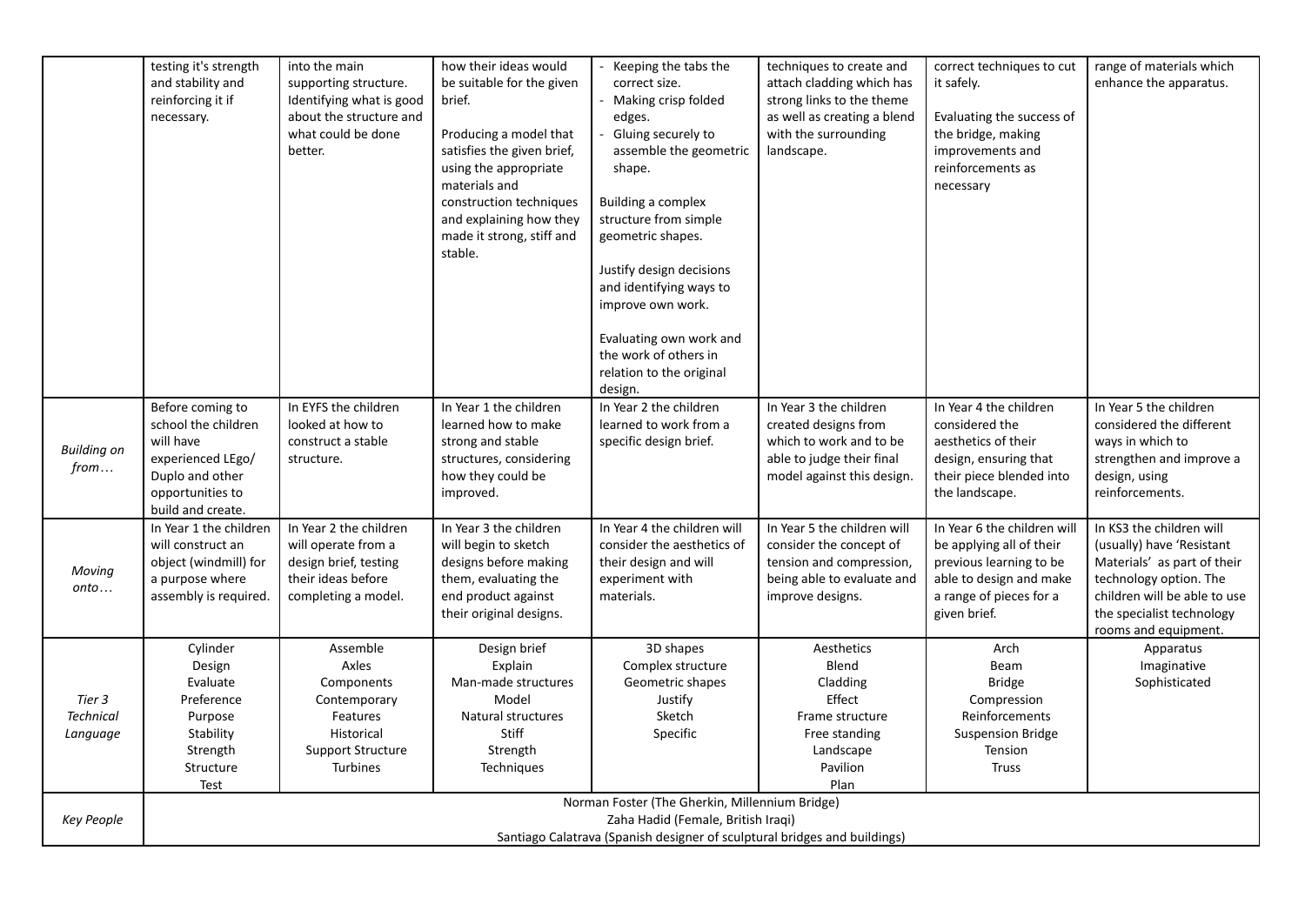|                                        | testing it's strength<br>and stability and<br>reinforcing it if<br>necessary.                                                                                     | into the main<br>supporting structure.<br>Identifying what is good<br>about the structure and<br>what could be done<br>better. | how their ideas would<br>be suitable for the given<br>brief.<br>Producing a model that<br>satisfies the given brief,<br>using the appropriate<br>materials and<br>construction techniques<br>and explaining how they<br>made it strong, stiff and<br>stable. | - Keeping the tabs the<br>correct size.<br>Making crisp folded<br>edges.<br>Gluing securely to<br>assemble the geometric<br>shape.<br>Building a complex<br>structure from simple<br>geometric shapes.<br>Justify design decisions<br>and identifying ways to<br>improve own work.<br>Evaluating own work and<br>the work of others in<br>relation to the original<br>design. | techniques to create and<br>attach cladding which has<br>strong links to the theme<br>as well as creating a blend<br>with the surrounding<br>landscape. | correct techniques to cut<br>it safely.<br>Evaluating the success of<br>the bridge, making<br>improvements and<br>reinforcements as<br>necessary         | range of materials which<br>enhance the apparatus.                                                                                                                                                  |
|----------------------------------------|-------------------------------------------------------------------------------------------------------------------------------------------------------------------|--------------------------------------------------------------------------------------------------------------------------------|--------------------------------------------------------------------------------------------------------------------------------------------------------------------------------------------------------------------------------------------------------------|-------------------------------------------------------------------------------------------------------------------------------------------------------------------------------------------------------------------------------------------------------------------------------------------------------------------------------------------------------------------------------|---------------------------------------------------------------------------------------------------------------------------------------------------------|----------------------------------------------------------------------------------------------------------------------------------------------------------|-----------------------------------------------------------------------------------------------------------------------------------------------------------------------------------------------------|
| <b>Building on</b><br>from $\dots$     | Before coming to<br>school the children<br>will have<br>experienced LEgo/<br>Duplo and other<br>opportunities to<br>build and create.                             | In EYFS the children<br>looked at how to<br>construct a stable<br>structure.                                                   | In Year 1 the children<br>learned how to make<br>strong and stable<br>structures, considering<br>how they could be<br>improved.                                                                                                                              | In Year 2 the children<br>learned to work from a<br>specific design brief.                                                                                                                                                                                                                                                                                                    | In Year 3 the children<br>created designs from<br>which to work and to be<br>able to judge their final<br>model against this design.                    | In Year 4 the children<br>considered the<br>aesthetics of their<br>design, ensuring that<br>their piece blended into<br>the landscape.                   | In Year 5 the children<br>considered the different<br>ways in which to<br>strengthen and improve a<br>design, using<br>reinforcements.                                                              |
| Moving<br>onto                         | In Year 1 the children<br>will construct an<br>object (windmill) for<br>a purpose where<br>assembly is required.                                                  | In Year 2 the children<br>will operate from a<br>design brief, testing<br>their ideas before<br>completing a model.            | In Year 3 the children<br>will begin to sketch<br>designs before making<br>them, evaluating the<br>end product against<br>their original designs.                                                                                                            | In Year 4 the children will<br>consider the aesthetics of<br>their design and will<br>experiment with<br>materials.                                                                                                                                                                                                                                                           | In Year 5 the children will<br>consider the concept of<br>tension and compression,<br>being able to evaluate and<br>improve designs.                    | In Year 6 the children will<br>be applying all of their<br>previous learning to be<br>able to design and make<br>a range of pieces for a<br>given brief. | In KS3 the children will<br>(usually) have 'Resistant<br>Materials' as part of their<br>technology option. The<br>children will be able to use<br>the specialist technology<br>rooms and equipment. |
| Tier 3<br><b>Technical</b><br>Language | Cylinder<br>Design<br>Evaluate<br>Preference<br>Purpose<br>Stability<br>Strength<br>Structure<br>Test                                                             | Assemble<br>Axles<br>Components<br>Contemporary<br>Features<br>Historical<br>Support Structure<br>Turbines                     | Design brief<br>Explain<br>Man-made structures<br>Model<br>Natural structures<br><b>Stiff</b><br>Strength<br>Techniques                                                                                                                                      | 3D shapes<br>Complex structure<br>Geometric shapes<br>Justify<br>Sketch<br>Specific                                                                                                                                                                                                                                                                                           | Aesthetics<br>Blend<br>Cladding<br>Effect<br>Frame structure<br>Free standing<br>Landscape<br>Pavilion<br>Plan                                          | Arch<br>Beam<br><b>Bridge</b><br>Compression<br>Reinforcements<br><b>Suspension Bridge</b><br>Tension<br><b>Truss</b>                                    | Apparatus<br>Imaginative<br>Sophisticated                                                                                                                                                           |
| <b>Key People</b>                      | Norman Foster (The Gherkin, Millennium Bridge)<br>Zaha Hadid (Female, British Iraqi)<br>Santiago Calatrava (Spanish designer of sculptural bridges and buildings) |                                                                                                                                |                                                                                                                                                                                                                                                              |                                                                                                                                                                                                                                                                                                                                                                               |                                                                                                                                                         |                                                                                                                                                          |                                                                                                                                                                                                     |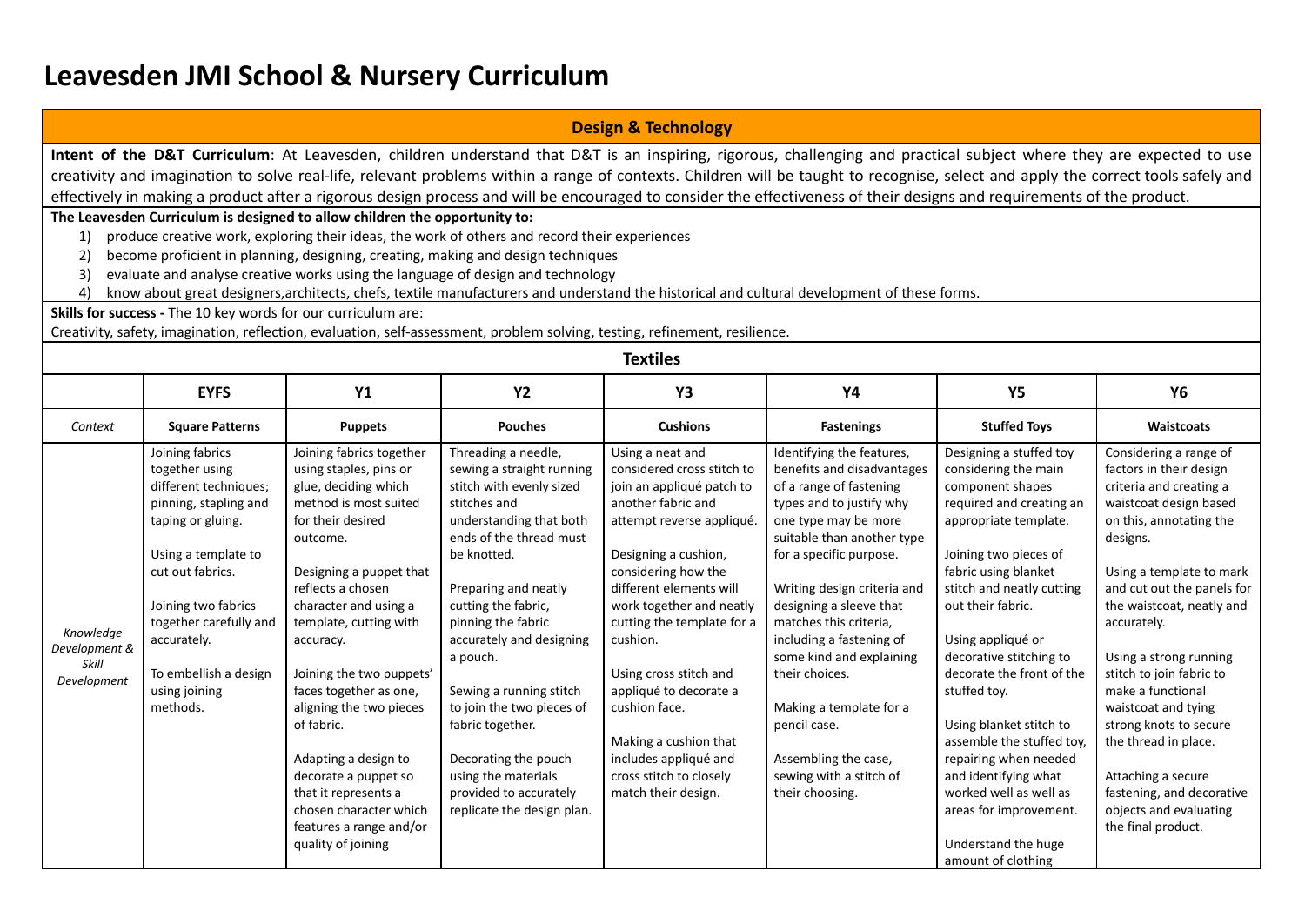## **Leavesden JMI School & Nursery Curriculum**

## **Design & Technology**

**Intent of the D&T Curriculum**: At Leavesden, children understand that D&T is an inspiring, rigorous, challenging and practical subject where they are expected to use creativity and imagination to solve real-life, relevant problems within a range of contexts. Children will be taught to recognise, select and apply the correct tools safely and effectively in making a product after a rigorous design process and will be encouraged to consider the effectiveness of their designs and requirements of the product.

#### **The Leavesden Curriculum is designed to allow children the opportunity to:**

1) produce creative work, exploring their ideas, the work of others and record their experiences

2) become proficient in planning, designing, creating, making and design techniques

3) evaluate and analyse creative works using the language of design and technology

4) know about great designers,architects, chefs, textile manufacturers and understand the historical and cultural development of these forms.

**Skills for success -** The 10 key words for our curriculum are:

Creativity, safety, imagination, reflection, evaluation, self-assessment, problem solving, testing, refinement, resilience.

|                                                    | <b>Textiles</b>                                                                                                                                                                                                                                                           |                                                                                                                                                                                                                                                                                                                                                                                                                                                                                                        |                                                                                                                                                                                                                                                                                                                                                                                                                                                                   |                                                                                                                                                                                                                                                                                                                                                                                                                                                         |                                                                                                                                                                                                                                                                                                                                                                                                                                                                                |                                                                                                                                                                                                                                                                                                                                                                                                                                                                                                                                    |                                                                                                                                                                                                                                                                                                                                                                                                                                                                                                            |  |  |
|----------------------------------------------------|---------------------------------------------------------------------------------------------------------------------------------------------------------------------------------------------------------------------------------------------------------------------------|--------------------------------------------------------------------------------------------------------------------------------------------------------------------------------------------------------------------------------------------------------------------------------------------------------------------------------------------------------------------------------------------------------------------------------------------------------------------------------------------------------|-------------------------------------------------------------------------------------------------------------------------------------------------------------------------------------------------------------------------------------------------------------------------------------------------------------------------------------------------------------------------------------------------------------------------------------------------------------------|---------------------------------------------------------------------------------------------------------------------------------------------------------------------------------------------------------------------------------------------------------------------------------------------------------------------------------------------------------------------------------------------------------------------------------------------------------|--------------------------------------------------------------------------------------------------------------------------------------------------------------------------------------------------------------------------------------------------------------------------------------------------------------------------------------------------------------------------------------------------------------------------------------------------------------------------------|------------------------------------------------------------------------------------------------------------------------------------------------------------------------------------------------------------------------------------------------------------------------------------------------------------------------------------------------------------------------------------------------------------------------------------------------------------------------------------------------------------------------------------|------------------------------------------------------------------------------------------------------------------------------------------------------------------------------------------------------------------------------------------------------------------------------------------------------------------------------------------------------------------------------------------------------------------------------------------------------------------------------------------------------------|--|--|
|                                                    | <b>EYFS</b>                                                                                                                                                                                                                                                               | <b>Y1</b>                                                                                                                                                                                                                                                                                                                                                                                                                                                                                              | <b>Y2</b>                                                                                                                                                                                                                                                                                                                                                                                                                                                         | Y3                                                                                                                                                                                                                                                                                                                                                                                                                                                      | <b>Y4</b>                                                                                                                                                                                                                                                                                                                                                                                                                                                                      | <b>Y5</b>                                                                                                                                                                                                                                                                                                                                                                                                                                                                                                                          | <b>Y6</b>                                                                                                                                                                                                                                                                                                                                                                                                                                                                                                  |  |  |
| Context                                            | <b>Square Patterns</b>                                                                                                                                                                                                                                                    | <b>Puppets</b>                                                                                                                                                                                                                                                                                                                                                                                                                                                                                         | <b>Pouches</b>                                                                                                                                                                                                                                                                                                                                                                                                                                                    | <b>Cushions</b>                                                                                                                                                                                                                                                                                                                                                                                                                                         | <b>Fastenings</b>                                                                                                                                                                                                                                                                                                                                                                                                                                                              | <b>Stuffed Toys</b>                                                                                                                                                                                                                                                                                                                                                                                                                                                                                                                | <b>Waistcoats</b>                                                                                                                                                                                                                                                                                                                                                                                                                                                                                          |  |  |
| Knowledge<br>Development &<br>Skill<br>Development | Joining fabrics<br>together using<br>different techniques;<br>pinning, stapling and<br>taping or gluing.<br>Using a template to<br>cut out fabrics.<br>Joining two fabrics<br>together carefully and<br>accurately.<br>To embellish a design<br>using joining<br>methods. | Joining fabrics together<br>using staples, pins or<br>glue, deciding which<br>method is most suited<br>for their desired<br>outcome.<br>Designing a puppet that<br>reflects a chosen<br>character and using a<br>template, cutting with<br>accuracy.<br>Joining the two puppets'<br>faces together as one,<br>aligning the two pieces<br>of fabric.<br>Adapting a design to<br>decorate a puppet so<br>that it represents a<br>chosen character which<br>features a range and/or<br>quality of joining | Threading a needle,<br>sewing a straight running<br>stitch with evenly sized<br>stitches and<br>understanding that both<br>ends of the thread must<br>be knotted.<br>Preparing and neatly<br>cutting the fabric,<br>pinning the fabric<br>accurately and designing<br>a pouch.<br>Sewing a running stitch<br>to join the two pieces of<br>fabric together.<br>Decorating the pouch<br>using the materials<br>provided to accurately<br>replicate the design plan. | Using a neat and<br>considered cross stitch to<br>join an appliqué patch to<br>another fabric and<br>attempt reverse appliqué.<br>Designing a cushion,<br>considering how the<br>different elements will<br>work together and neatly<br>cutting the template for a<br>cushion.<br>Using cross stitch and<br>appliqué to decorate a<br>cushion face.<br>Making a cushion that<br>includes appliqué and<br>cross stitch to closely<br>match their design. | Identifying the features,<br>benefits and disadvantages<br>of a range of fastening<br>types and to justify why<br>one type may be more<br>suitable than another type<br>for a specific purpose.<br>Writing design criteria and<br>designing a sleeve that<br>matches this criteria,<br>including a fastening of<br>some kind and explaining<br>their choices.<br>Making a template for a<br>pencil case.<br>Assembling the case,<br>sewing with a stitch of<br>their choosing. | Designing a stuffed toy<br>considering the main<br>component shapes<br>required and creating an<br>appropriate template.<br>Joining two pieces of<br>fabric using blanket<br>stitch and neatly cutting<br>out their fabric.<br>Using appliqué or<br>decorative stitching to<br>decorate the front of the<br>stuffed toy.<br>Using blanket stitch to<br>assemble the stuffed toy,<br>repairing when needed<br>and identifying what<br>worked well as well as<br>areas for improvement.<br>Understand the huge<br>amount of clothing | Considering a range of<br>factors in their design<br>criteria and creating a<br>waistcoat design based<br>on this, annotating the<br>designs.<br>Using a template to mark<br>and cut out the panels for<br>the waistcoat, neatly and<br>accurately.<br>Using a strong running<br>stitch to join fabric to<br>make a functional<br>waistcoat and tying<br>strong knots to secure<br>the thread in place.<br>Attaching a secure<br>fastening, and decorative<br>objects and evaluating<br>the final product. |  |  |